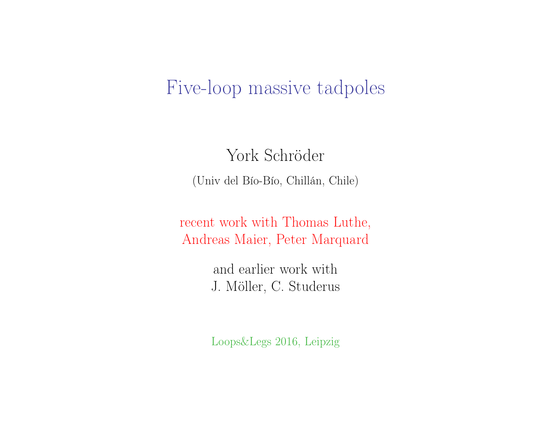# Five-loop massive tadpoles

York Schröder (Univ del Bío-Bío, Chillán, Chile)

recent work with Thomas Luthe, Andreas Maier, Peter Marquard

> and earlier work with J. Möller, C. Studerus

> Loops&Legs 2016, Leipzig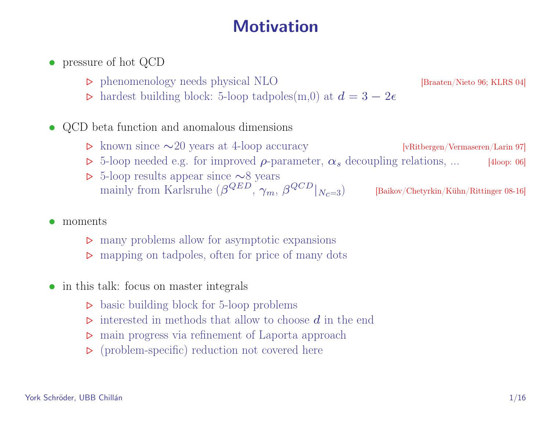## **Motivation**

- pressure of hot QCD
	- phenomenology needs physical NLO [Braaten/Nieto 96; KLRS 04]
	- $\triangleright$  hardest building block: 5-loop tadpoles(m,0) at  $d = 3 2\epsilon$
- QCD beta function and anomalous dimensions
	- . known since ∼20 years at 4-loop accuracy [vRitbergen/Vermaseren/Larin 97]
	- $\triangleright$  5-loop needed e.g. for improved  $\rho$ -parameter,  $\alpha_s$  decoupling relations, ... [4loop: 06]
	- . 5-loop results appear since ∼8 years mainly from Karlsruhe  $(\beta^{QED}, \gamma_m, \beta)$ [Baikov/Chetyrkin/Kühn/Rittinger 08-16]
- moments
	- $\triangleright$  many problems allow for asymptotic expansions
	- $\triangleright$  mapping on tadpoles, often for price of many dots
- in this talk: focus on master integrals
	- $\triangleright$  basic building block for 5-loop problems
	- $\triangleright$  interested in methods that allow to choose d in the end
	- $\triangleright$ main progress via refinement of Laporta approach
	- $\triangleright$  (problem-specific) reduction not covered here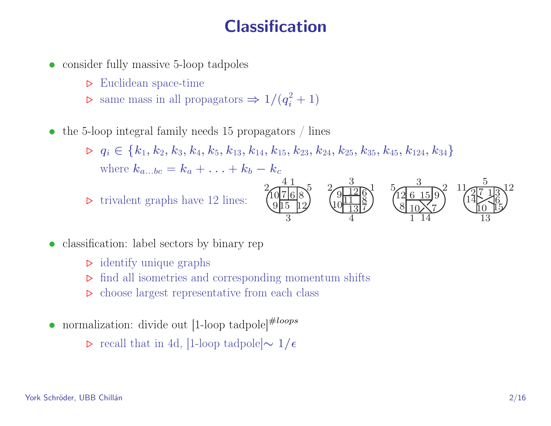# **Classification**

- consider fully massive 5-loop tadpoles
	- $\triangleright$  Euclidean space-time
	- $\triangleright$  same mass in all propagators  $\Rightarrow 1/(q_i^2 + 1)$
- the 5-loop integral family needs 15 propagators / lines

 $\triangleright q_i \in \{k_1, k_2, k_3, k_4, k_5, k_{13}, k_{14}, k_{15}, k_{23}, k_{24}, k_{25}, k_{35}, k_{45}, k_{124}, k_{34}\}$ where  $k_{a...bc} = k_a + \ldots + k_b - k_c$ 

 $\triangleright$  trivalent graphs have 12 lines:



- classification: label sectors by binary rep
	- $\triangleright$  identify unique graphs
	- $\triangleright$  find all isometries and corresponding momentum shifts
	- $\triangleright$  choose largest representative from each class
- normalization: divide out  $[1\text{-loop tadpole}]^{\#loops}$ 
	- $\triangleright$  recall that in 4d, [1-loop tadpole] $\sim 1/\epsilon$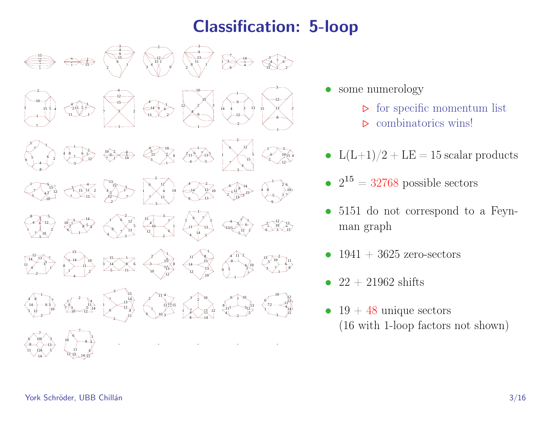# Classification: 5-loop



- some numerology
	- $\triangleright$  for specific momentum list
	- $\triangleright$  combinatorics wins!
- $L(L+1)/2 + LE = 15$  scalar products
- $2^{15} = 32768$  possible sectors
- 5151 do not correspond to a Feynman graph
- $1941 + 3625$  zero-sectors
- 22 + 21962 shifts
- $19 + 48$  unique sectors (16 with 1-loop factors not shown)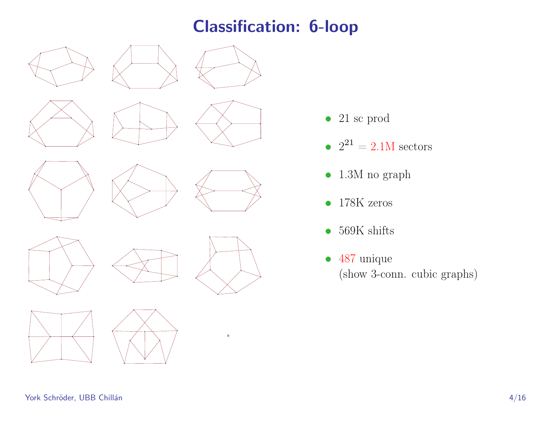## Classification: 6-loop























- $\bullet~$  21 sc prod
- $2^{21} = 2.1M$  sectors
- $\bullet~$  1.3M no graph
- 178K zeros
- 569K shifts
- 487 unique (show 3-conn. cubic graphs)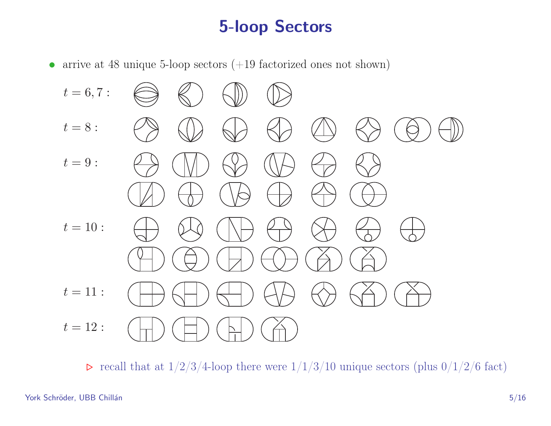# 5-loop Sectors

• arrive at 48 unique 5-loop sectors  $(+19$  factorized ones not shown)



 $\triangleright$  recall that at  $1/2/3/4$ -loop there were  $1/1/3/10$  unique sectors (plus  $0/1/2/6$  fact)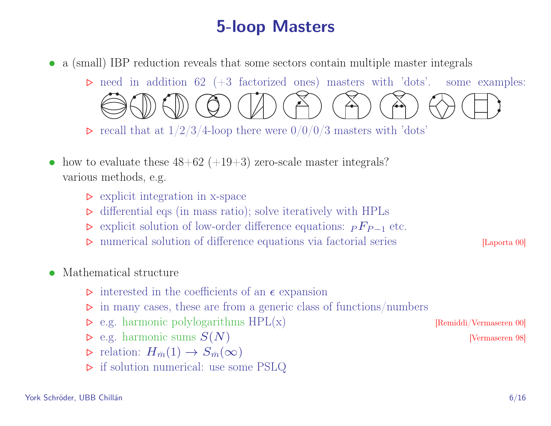# 5-loop Masters

• a (small) IBP reduction reveals that some sectors contain multiple master integrals

 $\triangleright$  need in addition 62 (+3 factorized ones) masters with 'dots'. some examples:

 $\triangleright$  recall that at  $1/2/3/4$ -loop there were  $0/0/0/3$  masters with 'dots'

- how to evaluate these  $48+62 (+19+3)$  zero-scale master integrals? various methods, e.g.
	- $\triangleright$  explicit integration in x-space
	- $\triangleright$  differential eqs (in mass ratio); solve iteratively with HPLs
	- $\triangleright$  explicit solution of low-order difference equations:  $P F_{P-1}$  etc.
	- $\triangleright$  numerical solution of difference equations via factorial series [Laporta 00]
- Mathematical structure
	- $\triangleright$  interested in the coefficients of an  $\epsilon$  expansion
	- $\triangleright$  in many cases, these are from a generic class of functions/numbers
	- $\triangleright$  e.g. harmonic polylogarithms  $HPL(x)$  [Remiddi/Vermaseren 00]
	- $\triangleright$  e.g. harmonic sums  $S(N)$  [Vermaseren 98]
	- $\triangleright$  relation:  $H_{\bar{m}}(1) \to S_{\bar{m}}(\infty)$
	- $\triangleright$  if solution numerical: use some PSLQ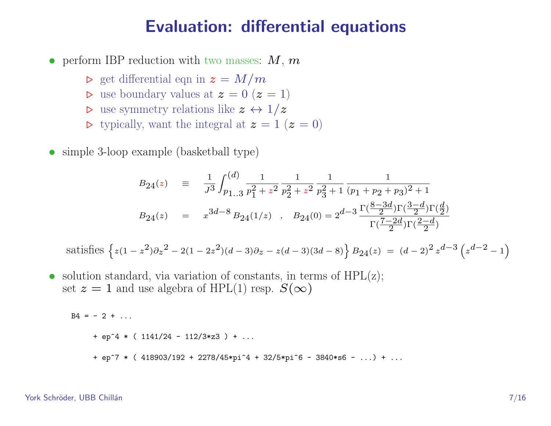#### Evaluation: differential equations

- perform IBP reduction with two masses:  $M, m$ 
	- $\triangleright$  get differential eqn in  $z = M/m$
	- $\triangleright$  use boundary values at  $z = 0$   $(z = 1)$
	- $\triangleright$  use symmetry relations like  $z \leftrightarrow 1/z$
	- $\triangleright$  typically, want the integral at  $z = 1$   $(z = 0)$
- simple 3-loop example (basketball type)

$$
B_{24}(z) = \frac{1}{J^3} \int_{p_{1..3}}^{(d)} \frac{1}{p_1^2 + z^2} \frac{1}{p_2^2 + z^2} \frac{1}{p_3^2 + 1} \frac{1}{(p_1 + p_2 + p_3)^2 + 1}
$$
  
\n
$$
B_{24}(z) = x^{3d-8} B_{24}(1/z) , B_{24}(0) = 2^{d-3} \frac{\Gamma(\frac{8-3d}{2})\Gamma(\frac{3-d}{2})\Gamma(\frac{d}{2})}{\Gamma(\frac{7-2d}{2})\Gamma(\frac{2-d}{2})}
$$

satisfies 
$$
\left\{z(1-z^2)\partial_z^2 - 2(1-2z^2)(d-3)\partial_z - z(d-3)(3d-8)\right\}B_{24}(z) = (d-2)^2 z^{d-3} \left(z^{d-2} - 1\right)
$$

• solution standard, via variation of constants, in terms of  $HPL(z)$ ; set  $z = 1$  and use algebra of HPL(1) resp.  $S(\infty)$ 

$$
B4 = -2 + ...
$$
  
+ ep<sup>2</sup> \* ( 1141/24 - 112/3\*z3 ) + ...  
+ ep<sup>2</sup> \* ( 418903/192 + 2278/45\*pi<sup>2</sup> + 32/5\*pi<sup>2</sup>6 - 3840\*s6 - ... ) + ...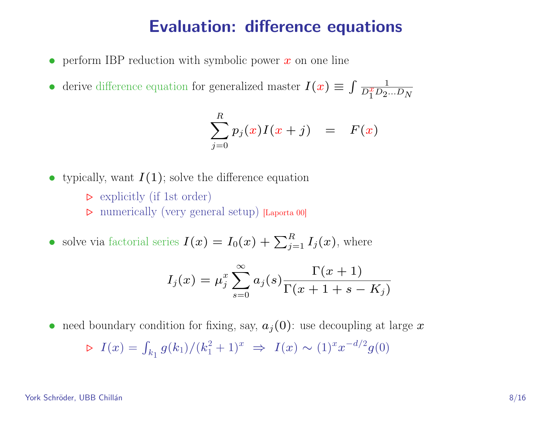#### Evaluation: difference equations

- perform IBP reduction with symbolic power  $x$  on one line
- derive difference equation for generalized master  $I(x) \equiv \int \frac{1}{D^x D^x}$  $\overline{D_1^xD_2...D_N}$

$$
\sum_{j=0}^R p_j(x)I(x+j) = F(x)
$$

- typically, want  $I(1)$ ; solve the difference equation
	- $\triangleright$  explicitly (if 1st order)
	- . numerically (very general setup) [Laporta 00]
- solve via factorial series  $I(x) = I_0(x) + \sum_{j=1}^R I_j(x)$ , where

$$
I_j(x) = \mu_j^x \sum_{s=0}^{\infty} a_j(s) \frac{\Gamma(x+1)}{\Gamma(x+1+s-K_j)}
$$

• need boundary condition for fixing, say,  $a_j(0)$ : use decoupling at large x

$$
\triangleright \ I(x) = \int_{k_1} g(k_1) / (k_1^2 + 1)^x \implies I(x) \sim (1)^x x^{-d/2} g(0)
$$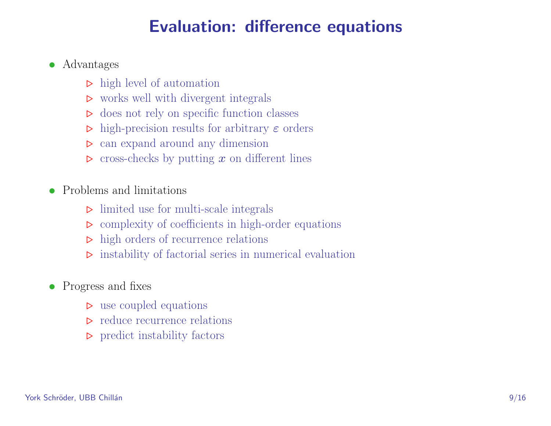# Evaluation: difference equations

#### • Advantages

- $\triangleright$  high level of automation
- $\triangleright$  works well with divergent integrals
- $\triangleright$  does not rely on specific function classes
- $\triangleright$  high-precision results for arbitrary  $\varepsilon$  orders
- $\triangleright$  can expand around any dimension
- $\triangleright$  cross-checks by putting x on different lines
- Problems and limitations
	- $\triangleright$  limited use for multi-scale integrals
	- $\triangleright$  complexity of coefficients in high-order equations
	- $\triangleright$  high orders of recurrence relations
	- $\triangleright$  instability of factorial series in numerical evaluation
- Progress and fixes
	- $\triangleright$  use coupled equations
	- $\triangleright$  reduce recurrence relations
	- $\triangleright$  predict instability factors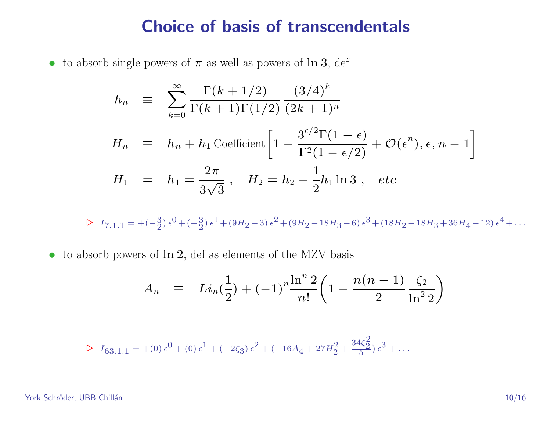#### Choice of basis of transcendentals

• to absorb single powers of  $\pi$  as well as powers of  $\ln 3$ , def

$$
h_n \equiv \sum_{k=0}^{\infty} \frac{\Gamma(k+1/2)}{\Gamma(k+1)\Gamma(1/2)} \frac{(3/4)^k}{(2k+1)^n}
$$
  
\n
$$
H_n \equiv h_n + h_1 \text{Coefficient} \left[ 1 - \frac{3^{\epsilon/2} \Gamma(1-\epsilon)}{\Gamma^2(1-\epsilon/2)} + \mathcal{O}(\epsilon^n), \epsilon, n-1 \right]
$$
  
\n
$$
H_1 = h_1 = \frac{2\pi}{3\sqrt{3}}, \quad H_2 = h_2 - \frac{1}{2}h_1 \ln 3, \quad etc
$$

 $\triangleright I_{7,1,1} = +(-\frac{3}{2}) \epsilon^0 + (-\frac{3}{2}) \epsilon^1 + (9H_2 - 3) \epsilon^2 + (9H_2 - 18H_3 - 6) \epsilon^3 + (18H_2 - 18H_3 + 36H_4 - 12) \epsilon^4 + \dots$ 

• to absorb powers of  $\ln 2$ , def as elements of the MZV basis

$$
A_n \equiv Li_n(\frac{1}{2}) + (-1)^n \frac{\ln^n 2}{n!} \left( 1 - \frac{n(n-1)}{2} \frac{\zeta_2}{\ln^2 2} \right)
$$

$$
\triangleright I_{63.1.1} = +0.66 + 0.61 + (-2\zeta_3) \epsilon^2 + (-16A_4 + 27H_2^2 + \frac{34\zeta_2^2}{5}) \epsilon^3 + \dots
$$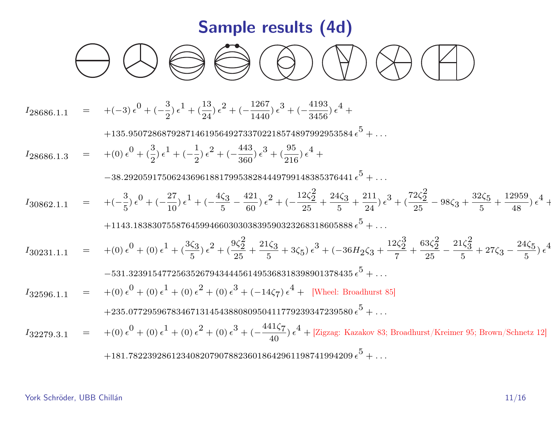# Sample results (4d)

$$
\bigcirc \mathbb{Q} \otimes \bigcirc \bigcirc \bigcirc \bigcirc \bigcirc \bigcirc
$$

$$
I_{28686.1,1} = +(-3) \epsilon^{0} + (-\frac{3}{2}) \epsilon^{1} + (\frac{13}{24}) \epsilon^{2} + (-\frac{1267}{1440}) \epsilon^{3} + (-\frac{4193}{3456}) \epsilon^{4} +
$$
  
\n
$$
+135.95072868792871461956492733702218574897992953584 \epsilon^{5} + ...
$$
  
\n
$$
I_{28686.1,3} = +(0) \epsilon^{0} + (\frac{3}{2}) \epsilon^{1} + (-\frac{1}{2}) \epsilon^{2} + (-\frac{443}{360}) \epsilon^{3} + (\frac{95}{216}) \epsilon^{4} + ...
$$
  
\n
$$
-38.292059175062436961881799538284449799148385376441 \epsilon^{5} + ...
$$
  
\n
$$
I_{30862.1,1} = +(-\frac{3}{5}) \epsilon^{0} + (-\frac{27}{10}) \epsilon^{1} + (-\frac{4\zeta_{3}}{5} - \frac{421}{60}) \epsilon^{2} + (-\frac{12\zeta_{2}^{2}}{25} + \frac{24\zeta_{3}}{5} + \frac{211}{24}) \epsilon^{3} + (\frac{72\zeta_{2}^{2}}{25} - 98\zeta_{3} + \frac{32\zeta_{5}}{5} + \frac{12959}{48}) \epsilon^{4} +
$$
  
\n
$$
+1143.1838307558764599466030303839590323268318605888 \epsilon^{5} + ...
$$
  
\n
$$
I_{30231.1,1} = +(0) \epsilon^{0} + (0) \epsilon^{1} + (\frac{3\zeta_{3}}{5}) \epsilon^{2} + (\frac{9\zeta_{2}^{2}}{25} + \frac{21\zeta_{3}}{5} + 3\zeta_{5}) \epsilon^{3} + (-36H_{2}\zeta_{3} + \frac{12\zeta_{2}^{3}}{7} + \frac{63\zeta_{2}^{2}}{2
$$

York Schröder, UBB Chillán 11/16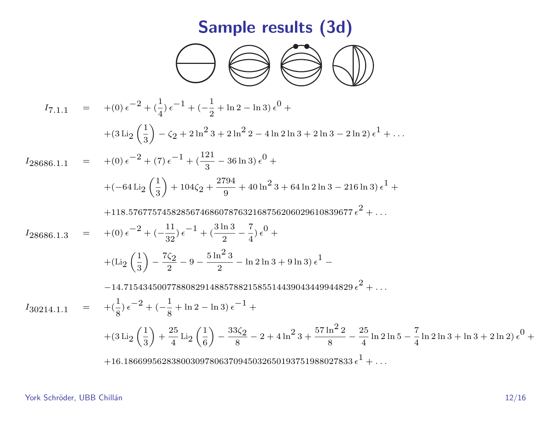# Sample results (3d)



$$
I_{7,1,1} = +(0) e^{-2} + (\frac{1}{4}) e^{-1} + (-\frac{1}{2} + \ln 2 - \ln 3) e^{0} +
$$
  
\n
$$
+ (3 \text{Li}_2 (\frac{1}{3}) - \zeta_2 + 2 \ln^2 3 + 2 \ln^2 2 - 4 \ln 2 \ln 3 + 2 \ln 3 - 2 \ln 2) e^{1} + ...
$$
  
\n
$$
I_{28686,1,1} = +(0) e^{-2} + (7) e^{-1} + (\frac{121}{3} - 36 \ln 3) e^{0} +
$$
  
\n
$$
+ (-64 \text{Li}_2 (\frac{1}{3}) + 104 \zeta_2 + \frac{2794}{9} + 40 \ln^2 3 + 64 \ln 2 \ln 3 - 216 \ln 3) e^{1} +
$$
  
\n
$$
+ 118.57677574582856746860787632168756206029610839677 e^{2} + ...
$$
  
\n
$$
I_{28686,1,3} = +(0) e^{-2} + (-\frac{11}{32}) e^{-1} + (\frac{3 \ln 3}{2} - \frac{7}{4}) e^{0} +
$$
  
\n
$$
+ (\text{Li}_2 (\frac{1}{3}) - \frac{7\zeta_2}{2} - 9 - \frac{5 \ln^2 3}{2} - \ln 2 \ln 3 + 9 \ln 3) e^{1} -
$$
  
\n
$$
- 14.715434500778808291488578821585514439043449944829 e^{2} + ...
$$
  
\n
$$
I_{30214,1,1} = + (\frac{1}{8}) e^{-2} + (-\frac{1}{8} + \ln 2 - \ln 3) e^{-1} +
$$
  
\n
$$
+ (3 \text{Li}_2 (\frac{1}{3}) + \frac{25}{4} \text{Li}_2 (\frac{1}{6}) - \frac{33\zeta_2}{8} - 2 + 4 \ln^2 3 + \frac{57 \ln^2 2}{8} - \frac{25}{4} \ln 2 \ln 5 - \frac{7}{4} \
$$

York Schröder, UBB Chillán 12/16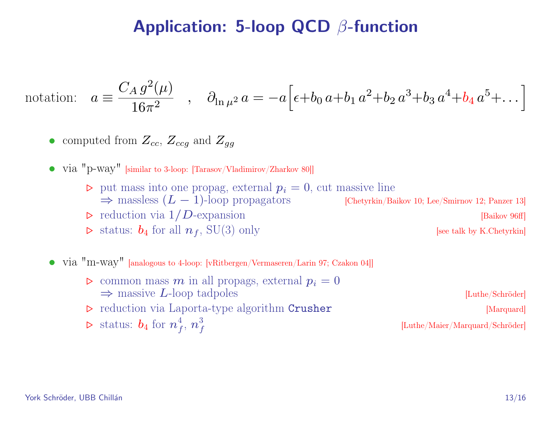#### Application: 5-loop QCD β-function

notation: 
$$
a = \frac{C_A g^2(\mu)}{16\pi^2}
$$
,  $\partial_{\ln \mu^2} a = -a \Big[ \epsilon + b_0 a + b_1 a^2 + b_2 a^3 + b_3 a^4 + b_4 a^5 + \dots \Big]$ 

• computed from  $Z_{cc}$ ,  $Z_{ccg}$  and  $Z_{gg}$ 

• via "p-way" [similar to 3-loop: [Tarasov/Vladimirov/Zharkov 80]]

- $\rho$  put mass into one propag, external  $p_i = 0$ , cut massive line  $\Rightarrow$  massless  $(L - 1)$ -loop propagators [Chetyrkin/Baikov 10; Lee/Smirnov 12; Panzer 13]
- 
- $\triangleright$  status:  $b_4$  for all  $n_f$ , SU(3) only [see talk by K.Chetyrkin]

 $\triangleright$  reduction via  $1/D$ -expansion [Baikov 96ff]

- via "m-way" [analogous to 4-loop: [vRitbergen/Vermaseren/Larin 97; Czakon 04]]
	- $\triangleright$  common mass m in all propags, external  $p_i = 0$  $\Rightarrow$  massive L-loop tadpoles [Luthe/Schröder]  $\triangleright$  reduction via Laporta-type algorithm Crusher [Marquard]  $\triangleright$  status:  $b_4$  for  $n_f^4$  $^4_f,\,n^3_f$ f [Luthe/Maier/Marquard/Schröder]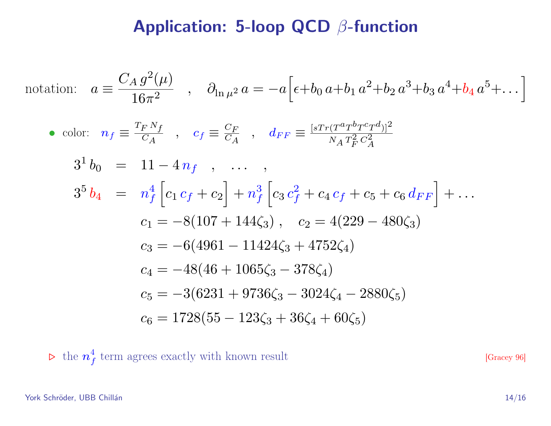#### Application: 5-loop QCD β-function

notation: 
$$
a = \frac{C_A g^2(\mu)}{16\pi^2}
$$
,  $\partial_{\ln \mu^2} a = -a \Big[ \epsilon + b_0 a + b_1 a^2 + b_2 a^3 + b_3 a^4 + b_4 a^5 + \dots \Big]$   
\n• color:  $n_f \equiv \frac{T_F N_f}{C_A}$ ,  $c_f \equiv \frac{C_F}{C_A}$ ,  $d_{FF} \equiv \frac{[sT_T (T^a T^b T^c T^d)]^2}{N_A T_F^2 C_A^2}$   
\n $3^1 b_0 = 11 - 4n_f$ , ...,  
\n $3^5 b_4 = n_f^4 \Big[ c_1 c_f + c_2 \Big] + n_f^3 \Big[ c_3 c_f^2 + c_4 c_f + c_5 + c_6 d_{FF} \Big] + \dots$   
\n $c_1 = -8(107 + 144\zeta_3)$ ,  $c_2 = 4(229 - 480\zeta_3)$   
\n $c_3 = -6(4961 - 11424\zeta_3 + 4752\zeta_4)$   
\n $c_4 = -48(46 + 1065\zeta_3 - 378\zeta_4)$   
\n $c_5 = -3(6231 + 9736\zeta_3 - 3024\zeta_4 - 2880\zeta_5)$   
\n $c_6 = 1728(55 - 123\zeta_3 + 36\zeta_4 + 60\zeta_5)$ 

 $\triangleright$  the  $n_{\scriptscriptstyle{f}}^4$  $\frac{4}{f}$  term agrees exactly with known result [Gracey 96]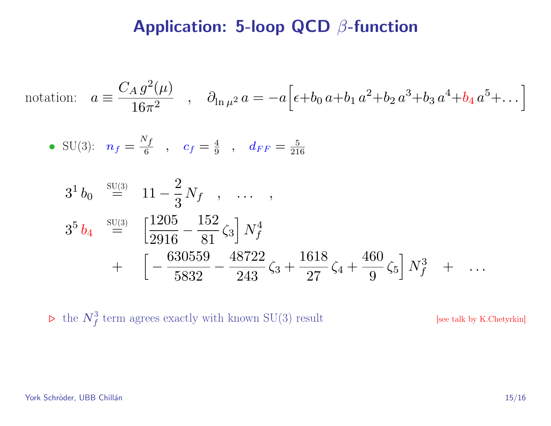#### Application: 5-loop QCD β-function

notation: 
$$
a = \frac{C_A g^2(\mu)}{16\pi^2}
$$
,  $\partial_{\ln \mu^2} a = -a \Big[ \epsilon + b_0 a + b_1 a^2 + b_2 a^3 + b_3 a^4 + b_4 a^5 + \dots \Big]$ 

• SU(3): 
$$
n_f = \frac{N_f}{6}
$$
,  $c_f = \frac{4}{9}$ ,  $d_{FF} = \frac{5}{216}$ 

$$
31 b0 \stackrel{\text{SU(3)}}{=} 11 - \frac{2}{3} N_f , \dots ,
$$
  
\n
$$
35 b4 \stackrel{\text{SU(3)}}{=} \left[ \frac{1205}{2916} - \frac{152}{81} \zeta_3 \right] N_f^4
$$
  
\n
$$
+ \left[ -\frac{630559}{5832} - \frac{48722}{243} \zeta_3 + \frac{1618}{27} \zeta_4 + \frac{460}{9} \zeta_5 \right] N_f^3 + \dots
$$

 $\triangleright$  the  $N_f^3$  term agrees exactly with known SU(3) result [see talk by K.Chetyrkin]